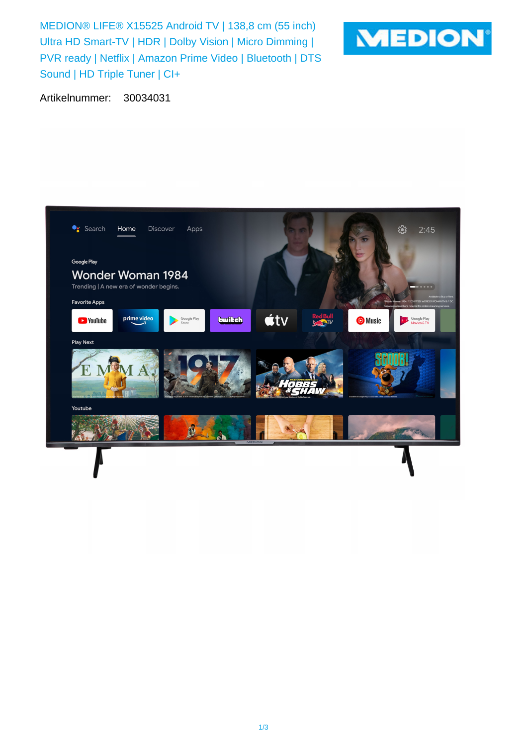MEDION® LIFE® X15525 Android TV | 138,8 cm (55 inch) Ultra HD Smart-TV | HDR | Dolby Vision | Micro Dimming | PVR ready | Netflix | Amazon Prime Video | Bluetooth | DTS Sound | HD Triple Tuner | CI+



Artikelnummer: 30034031

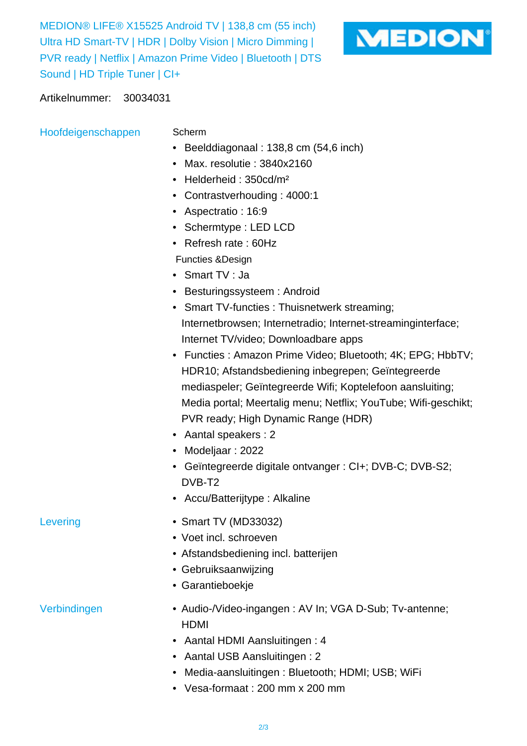MEDION® LIFE® X15525 Android TV | 138,8 cm (55 inch) Ultra HD Smart-TV | HDR | Dolby Vision | Micro Dimming | PVR ready | Netflix | Amazon Prime Video | Bluetooth | DTS Sound | HD Triple Tuner | CI+



## Artikelnummer: 30034031

Hoofdeigenschappen Scherm

- 
- Beelddiagonaal : 138,8 cm (54,6 inch)
- Max. resolutie : 3840x2160
- Helderheid: 350cd/m<sup>2</sup>
- Contrastverhouding : 4000:1
- Aspectratio : 16:9
- Schermtype : LED LCD
- Refresh rate : 60Hz
- Functies &Design
- Smart TV : Ja
- Besturingssysteem : Android
- Smart TV-functies : Thuisnetwerk streaming; Internetbrowsen; Internetradio; Internet-streaminginterface; Internet TV/video; Downloadbare apps
- Functies : Amazon Prime Video; Bluetooth; 4K; EPG; HbbTV; HDR10; Afstandsbediening inbegrepen; Geïntegreerde mediaspeler; Geïntegreerde Wifi; Koptelefoon aansluiting; Media portal; Meertalig menu; Netflix; YouTube; Wifi-geschikt; PVR ready; High Dynamic Range (HDR)
- Aantal speakers : 2
- Modeljaar : 2022
- Geïntegreerde digitale ontvanger : CI+; DVB-C; DVB-S2; DVB-T2
- Accu/Batterijtype : Alkaline
- Levering Smart TV (MD33032)
	- Voet incl. schroeven
	- Afstandsbediening incl. batterijen
	- Gebruiksaanwijzing
	- Garantieboekje

- Verbindingen  **Audio-/Video-ingangen : AV In; VGA D-Sub**; Tv-antenne; HDMI
	- Aantal HDMI Aansluitingen : 4
	- Aantal USB Aansluitingen : 2
	- Media-aansluitingen : Bluetooth; HDMI; USB; WiFi
	- Vesa-formaat : 200 mm x 200 mm